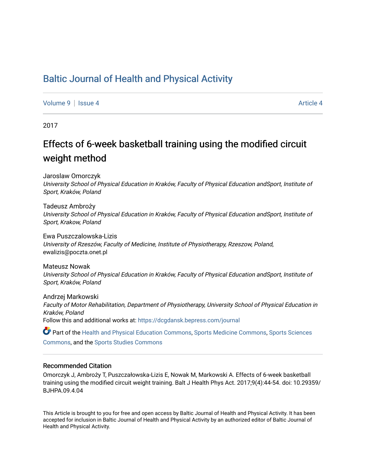# [Baltic Journal of Health and Physical Activity](https://dcgdansk.bepress.com/journal)

[Volume 9](https://dcgdansk.bepress.com/journal/vol9) | [Issue 4](https://dcgdansk.bepress.com/journal/vol9/iss4) [Article 4](https://dcgdansk.bepress.com/journal/vol9/iss4/4) Article 4 Article 4 Article 4 Article 4 Article 4 Article 4 Article 4 Article 4 Article 4 Article 4 Article 4 Article 4 Article 4 Article 4 Article 4 Article 4 Article 4 Article 4 Article 4 Art

2017

# Effects of 6-week basketball training using the modified circuit weight method

Jaroslaw Omorczyk University School of Physical Education in Kraków, Faculty of Physical Education andSport, Institute of Sport, Kraków, Poland

Tadeusz Ambroży University School of Physical Education in Kraków, Faculty of Physical Education andSport, Institute of Sport, Krakow, Poland

Ewa Puszczalowska-Lizis University of Rzeszów, Faculty of Medicine, Institute of Physiotherapy, Rzeszow, Poland, ewalizis@poczta.onet.pl

Mateusz Nowak University School of Physical Education in Kraków, Faculty of Physical Education andSport, Institute of Sport, Kraków, Poland

Andrzej Markowski Faculty of Motor Rehabilitation, Department of Physiotherapy, University School of Physical Education in Kraków, Poland Follow this and additional works at: [https://dcgdansk.bepress.com/journal](https://dcgdansk.bepress.com/journal?utm_source=dcgdansk.bepress.com%2Fjournal%2Fvol9%2Fiss4%2F4&utm_medium=PDF&utm_campaign=PDFCoverPages)

Part of the [Health and Physical Education Commons](http://network.bepress.com/hgg/discipline/1327?utm_source=dcgdansk.bepress.com%2Fjournal%2Fvol9%2Fiss4%2F4&utm_medium=PDF&utm_campaign=PDFCoverPages), [Sports Medicine Commons,](http://network.bepress.com/hgg/discipline/1331?utm_source=dcgdansk.bepress.com%2Fjournal%2Fvol9%2Fiss4%2F4&utm_medium=PDF&utm_campaign=PDFCoverPages) [Sports Sciences](http://network.bepress.com/hgg/discipline/759?utm_source=dcgdansk.bepress.com%2Fjournal%2Fvol9%2Fiss4%2F4&utm_medium=PDF&utm_campaign=PDFCoverPages) [Commons](http://network.bepress.com/hgg/discipline/759?utm_source=dcgdansk.bepress.com%2Fjournal%2Fvol9%2Fiss4%2F4&utm_medium=PDF&utm_campaign=PDFCoverPages), and the [Sports Studies Commons](http://network.bepress.com/hgg/discipline/1198?utm_source=dcgdansk.bepress.com%2Fjournal%2Fvol9%2Fiss4%2F4&utm_medium=PDF&utm_campaign=PDFCoverPages) 

#### Recommended Citation

Omorczyk J, Ambroży T, Puszczałowska-Lizis E, Nowak M, Markowski A. Effects of 6-week basketball training using the modified circuit weight training. Balt J Health Phys Act. 2017;9(4):44-54. doi: 10.29359/ BJHPA.09.4.04

This Article is brought to you for free and open access by Baltic Journal of Health and Physical Activity. It has been accepted for inclusion in Baltic Journal of Health and Physical Activity by an authorized editor of Baltic Journal of Health and Physical Activity.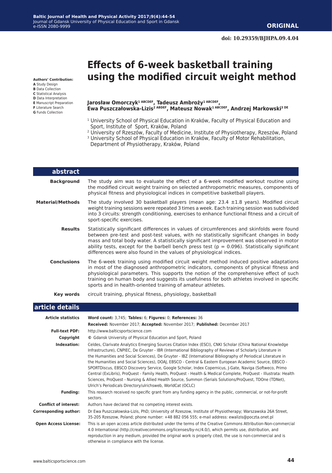# **Effects of 6-week basketball training using the modified circuit weight method**

**Authors' Contribution:**

- **A** Study Design
- **B** Data Collection
- **C** Statistical Analysis
- **D** Data Interpretation **E** Manuscript Preparation
- **F** Literature Search
- **G** Funds Collection

I

#### **Jarosław Omorczyk1 ABCDEF, Tadeusz Ambroży1 ABCDEF, Ewa Puszczałowska-Lizis2 ABDEF, Mateusz Nowak1 ABCDEF, Andrzej Markowski3 DE**

- <sup>1</sup> University School of Physical Education in Kraków, Faculty of Physical Education and Sport, Institute of Sport, Kraków, Poland
- 2 University of Rzeszów, Faculty of Medicine, Institute of Physiotherapy, Rzeszów, Poland
- <sup>3</sup> University School of Physical Education in Kraków, Faculty of Motor Rehabilitation, Department of Physiotherapy, Kraków, Poland

| abstract                |                                                                                                                                                                                                                                                                                                                                                                                                                                                                |
|-------------------------|----------------------------------------------------------------------------------------------------------------------------------------------------------------------------------------------------------------------------------------------------------------------------------------------------------------------------------------------------------------------------------------------------------------------------------------------------------------|
| <b>Background</b>       | The study aim was to evaluate the effect of a 6-week modified workout routine using<br>the modified circuit weight training on selected anthropometric measures, components of<br>physical fitness and physiological indices in competitive basketball players.                                                                                                                                                                                                |
| <b>Material/Methods</b> | The study involved 30 basketball players (mean age: $23.4 \pm 1.8$ years). Modified circuit<br>weight training sessions were repeated 3 times a week. Each training session was subdivided<br>into 3 circuits: strength conditioning, exercises to enhance functional fitness and a circuit of<br>sport-specific exercises.                                                                                                                                    |
| <b>Results</b>          | Statistically significant differences in values of circumferences and skinfolds were found<br>between pre-test and post-test values, with no statistically significant changes in body<br>mass and total body water. A statistically significant improvement was observed in motor<br>ability tests, except for the barbell bench press test ( $p = 0.096$ ). Statistically significant<br>differences were also found in the values of physiological indices. |
| <b>Conclusions</b>      | The 6-week training using modified circuit weight method induced positive adaptations<br>in most of the diagnosed anthropometric indicators, components of physical fitness and<br>physiological parameters. This supports the notion of the comprehensive effect of such<br>training on human body and suggests its usefulness for both athletes involved in specific<br>sports and in health-oriented training of amateur athletes.                          |
| Key words               | circuit training, physical fitness, physiology, basketball                                                                                                                                                                                                                                                                                                                                                                                                     |
| article details         |                                                                                                                                                                                                                                                                                                                                                                                                                                                                |
|                         |                                                                                                                                                                                                                                                                                                                                                                                                                                                                |

| <b>Article statistics</b>    | Word count: 3,745; Tables: 6; Figures: 0; References: 36                                                                                                                                                                                                                                                                                                                                                                                                                                                                                                                                                                                                                                                                                                                                                                                                      |  |  |  |  |  |  |
|------------------------------|---------------------------------------------------------------------------------------------------------------------------------------------------------------------------------------------------------------------------------------------------------------------------------------------------------------------------------------------------------------------------------------------------------------------------------------------------------------------------------------------------------------------------------------------------------------------------------------------------------------------------------------------------------------------------------------------------------------------------------------------------------------------------------------------------------------------------------------------------------------|--|--|--|--|--|--|
|                              | Received: November 2017; Accepted: November 2017; Published: December 2017                                                                                                                                                                                                                                                                                                                                                                                                                                                                                                                                                                                                                                                                                                                                                                                    |  |  |  |  |  |  |
| <b>Full-text PDF:</b>        | http://www.balticsportscience.com                                                                                                                                                                                                                                                                                                                                                                                                                                                                                                                                                                                                                                                                                                                                                                                                                             |  |  |  |  |  |  |
| Copyright                    | © Gdansk University of Physical Education and Sport, Poland                                                                                                                                                                                                                                                                                                                                                                                                                                                                                                                                                                                                                                                                                                                                                                                                   |  |  |  |  |  |  |
| Indexation:                  | Celdes, Clarivate Analytics Emerging Sources Citation Index (ESCI), CNKI Scholar (China National Knowledge<br>Infrastructure), CNPIEC, De Gruyter - IBR (International Bibliography of Reviews of Scholarly Literature in<br>the Humanities and Social Sciences), De Gruyter - IBZ (International Bibliography of Periodical Literature in<br>the Humanities and Social Sciences), DOAJ, EBSCO - Central & Eastern European Academic Source, EBSCO -<br>SPORTDiscus, EBSCO Discovery Service, Google Scholar, Index Copernicus, J-Gate, Naviga (Softweco, Primo<br>Central (ExLibris), ProQuest - Family Health, ProQuest - Health & Medical Complete, ProQuest - Illustrata: Health<br>Sciences, ProQuest - Nursing & Allied Health Source, Summon (Serials Solutions/ProQuest, TDOne (TDNet),<br>Ulrich's Periodicals Directory/ulrichsweb, WorldCat (OCLC) |  |  |  |  |  |  |
| <b>Funding:</b>              | This research received no specific grant from any funding agency in the public, commercial, or not-for-profit<br>sectors.                                                                                                                                                                                                                                                                                                                                                                                                                                                                                                                                                                                                                                                                                                                                     |  |  |  |  |  |  |
| <b>Conflict of interest:</b> | Authors have declared that no competing interest exists.                                                                                                                                                                                                                                                                                                                                                                                                                                                                                                                                                                                                                                                                                                                                                                                                      |  |  |  |  |  |  |
| <b>Corresponding author:</b> | Dr Ewa Puszczałowska-Lizis, PhD; University of Rzeszow, Institute of Physiotherapy; Warszawska 26A Street,<br>35-205 Rzeszow, Poland; phone number: +48 882 056 555; e-mail address: ewalizis@poczta.onet.pl                                                                                                                                                                                                                                                                                                                                                                                                                                                                                                                                                                                                                                                  |  |  |  |  |  |  |
| <b>Open Access License:</b>  | This is an open access article distributed under the terms of the Creative Commons Attribution-Non-commercial<br>4.0 International (http://creativecommons.org/licenses/by-nc/4.0/), which permits use, distribution, and<br>reproduction in any medium, provided the original work is properly cited, the use is non-commercial and is<br>otherwise in compliance with the license.                                                                                                                                                                                                                                                                                                                                                                                                                                                                          |  |  |  |  |  |  |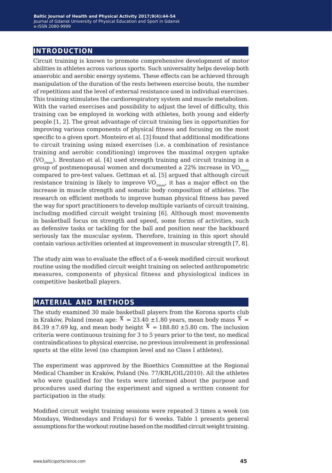## **introduction**

Circuit training is known to promote comprehensive development of motor abilities in athletes across various sports. Such universality helps develop both anaerobic and aerobic energy systems. These effects can be achieved through manipulation of the duration of the rests between exercise bouts, the number of repetitions and the level of external resistance used in individual exercises. This training stimulates the cardiorespiratory system and muscle metabolism. With the varied exercises and possibility to adjust the level of difficulty, this training can be employed in working with athletes, both young and elderly people [1, 2]. The great advantage of circuit training lies in opportunities for improving various components of physical fitness and focusing on the most specific to a given sport. Monteiro et al. [3] found that additional modifications to circuit training using mixed exercises (i.e. a combination of resistance training and aerobic conditioning) improves the maximal oxygen uptake  $(VO_{2m}$ ). Brentano et al. [4] used strength training and circuit training in a group of postmenopausal women and documented a 22% increase in  $VO_{2m \alpha x}$ compared to pre-test values. Gettman et al. [5] argued that although circuit resistance training is likely to improve  $VO_{2mav}$ , it has a major effect on the increase in muscle strength and somatic body composition of athletes. The research on efficient methods to improve human physical fitness has paved the way for sport practitioners to develop multiple variants of circuit training, including modified circuit weight training [6]. Although most movements in basketball focus on strength and speed, some forms of activities, such as defensive tasks or tackling for the ball and position near the backboard seriously tax the muscular system. Therefore, training in this sport should contain various activities oriented at improvement in muscular strength [7, 8].

The study aim was to evaluate the effect of a 6-week modified circuit workout routine using the modified circuit weight training on selected anthropometric measures, components of physical fitness and physiological indices in competitive basketball players.

### **material and methods**

The study examined 30 male basketball players from the Korona sports club in Kraków, Poland (mean age:  $\overline{X}$  = 23.40  $\pm$ 1.80 years, mean body mass  $\overline{X}$  = 84.39  $\pm$ 7.69 kg, and mean body height  $\overline{X}$  = 188.80  $\pm$ 5.80 cm. The inclusion criteria were continuous training for 3 to 5 years prior to the test, no medical contraindications to physical exercise, no previous involvement in professional sports at the elite level (no champion level and no Class I athletes).

The experiment was approved by the Bioethics Committee at the Regional Medical Chamber in Kraków, Poland (No. 77/KBL/OIL/2010). All the athletes who were qualified for the tests were informed about the purpose and procedures used during the experiment and signed a written consent for participation in the study.

Modified circuit weight training sessions were repeated 3 times a week (on Mondays, Wednesdays and Fridays) for 6 weeks. Table 1 presents general assumptions for the workout routine based on the modified circuit weight training.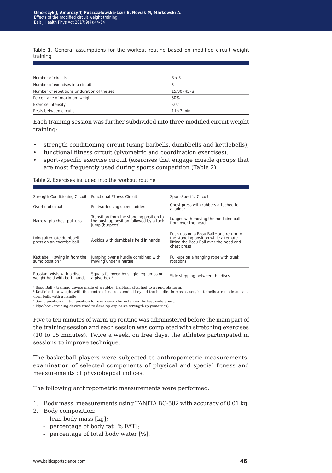Table 1*.* General assumptions for the workout routine based on modified circuit weight training

| Number of circuits                           | $3 \times 3$    |  |
|----------------------------------------------|-----------------|--|
| Number of exercises in a circuit             |                 |  |
| Number of repetitions or duration of the set | 15/30(45) s     |  |
| Percentage of maximum weight                 | 50%             |  |
| Exercise intensity                           | Fast            |  |
| Rests between circuits                       | $1$ to $3$ min. |  |

Each training session was further subdivided into three modified circuit weight training:

- strength conditioning circuit (using barbells, dumbbells and kettlebells),
- functional fitness circuit (plyometric and coordination exercises),
- sport-specific exercise circuit (exercises that engage muscle groups that are most frequently used during sports competition (Table 2).

| Table 2. Exercises included into the workout routine |  |  |  |  |
|------------------------------------------------------|--|--|--|--|
|------------------------------------------------------|--|--|--|--|

| Strength Conditioning Circuit Functional Fitness Circuit  |                                                                                                       | Sport-Specific Circuit                                                                                                                     |
|-----------------------------------------------------------|-------------------------------------------------------------------------------------------------------|--------------------------------------------------------------------------------------------------------------------------------------------|
| Overhead squat                                            | Footwork using speed ladders                                                                          | Chest press with rubbers attached to<br>a ladder                                                                                           |
| Narrow grip chest pull-ups                                | Transition from the standing position to<br>the push-up position followed by a tuck<br>jump (burpees) | Lunges with moving the medicine ball<br>from over the head                                                                                 |
| Lying alternate dumbbell<br>press on an exercise ball     | A-skips with dumbbells held in hands                                                                  | Push-ups on a Bosu Ball a and return to<br>the standing position while alternate<br>lifting the Bosu Ball over the head and<br>chest press |
| Kettlebell <b>b</b> swing in from the<br>sumo position c  | Jumping over a hurdle combined with<br>moving under a hurdle                                          | Pull-ups on a hanging rope with trunk<br>rotations                                                                                         |
| Russian twists with a disc<br>weight held with both hands | Squats followed by single-leg jumps on<br>a plvo-box <sup>d</sup>                                     | Side stepping between the discs                                                                                                            |

<sup>a</sup> Bosu Ball - training device made of a rubber half-ball attached to a rigid platform.

<sup>b</sup> Kettlebell – a weight with the centre of mass extended beyond the handle. In most cases, kettlebells are made as cast- -iron balls with a handle.

c Sumo position - initial position for exercises, characterized by feet wide apart.

<sup>d</sup> Plyo-box - training device used to develop explosive strength (plyometrics).

Five to ten minutes of warm-up routine was administered before the main part of the training session and each session was completed with stretching exercises (10 to 15 minutes). Twice a week, on free days, the athletes participated in sessions to improve technique.

The basketball players were subjected to anthropometric measurements, examination of selected components of physical and special fitness and measurements of physiological indices.

The following anthropometric measurements were performed:

- 1. Body mass: measurements using TANITA BC-582 with accuracy of 0.01 kg.
- 2. Body composition:
	- lean body mass [kg];
	- percentage of body fat [% FAT];
	- percentage of total body water [%].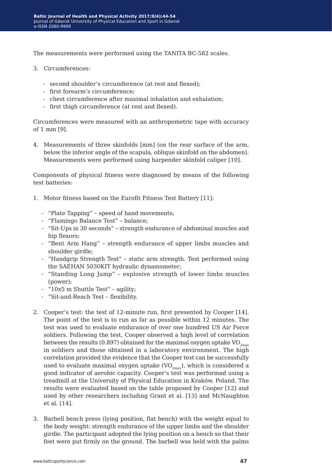The measurements were performed using the TANITA BC-582 scales.

- 3. Circumferences:
	- second shoulder's circumference (at rest and flexed);
	- first forearm's circumference;
	- chest circumference after maximal inhalation and exhalation;
	- first thigh circumference (at rest and flexed).

Circumferences were measured with an anthropometric tape with accuracy of 1 mm [9].

4. Measurements of three skinfolds [mm] (on the rear surface of the arm, below the inferior angle of the scapula, oblique skinfold on the abdomen). Measurements were performed using harpender skinfold caliper [10].

Components of physical fitness were diagnosed by means of the following test batteries:

- 1. Motor fitness based on the Eurofit Fitness Test Battery [11]:
	- "Plate Tapping" speed of hand movements;
	- "Flamingo Balance Test" balance;
	- "Sit-Ups in 30 seconds" strength endurance of abdominal muscles and hip flexors;
	- "Bent Arm Hang" strength endurance of upper limbs muscles and shoulder girdle;
	- "Handgrip Strength Test" static arm strength. Test performed using the SAEHAN 5030KIT hydraulic dynamometer;
	- "Standing Long Jump" explosive strength of lower limbs muscles (power);
	- "10x5 m Shuttle Test" agility;
	- "Sit-and-Reach Test flexibility.
- 2. Cooper's test: the test of 12-minute run, first presented by Cooper [14]. The point of the test is to run as far as possible within 12 minutes. The test was used to evaluate endurance of over one hundred US Air Force soldiers. Following the test, Cooper observed a high level of correlation between the results (0.897) obtained for the maximal oxygen uptake  $VO_{2max}$ in soldiers and those obtained in a laboratory environment. The high correlation provided the evidence that the Cooper test can be successfully used to evaluate maximal oxygen uptake  $(VO_{2max})$ , which is considered a good indicator of aerobic capacity. Cooper's test was performed using a treadmill at the University of Physical Education in Kraków, Poland. The results were evaluated based on the table proposed by Cooper [12] and used by other researchers including Grant et al. [13] and McNaughton et al. [14].
- 3. Barbell bench press (lying position, flat bench) with the weight equal to the body weight: strength endurance of the upper limbs and the shoulder girdle. The participant adopted the lying position on a bench so that their feet were put firmly on the ground. The barbell was held with the palms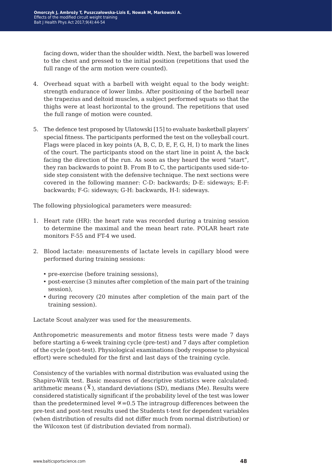facing down, wider than the shoulder width. Next, the barbell was lowered to the chest and pressed to the initial position (repetitions that used the full range of the arm motion were counted).

- 4. Overhead squat with a barbell with weight equal to the body weight: strength endurance of lower limbs. After positioning of the barbell near the trapezius and deltoid muscles, a subject performed squats so that the thighs were at least horizontal to the ground. The repetitions that used the full range of motion were counted.
- 5. The defence test proposed by Ulatowski [15] to evaluate basketball players' special fitness. The participants performed the test on the volleyball court. Flags were placed in key points (A, B, C, D, E, F, G, H, I) to mark the lines of the court. The participants stood on the start line in point A, the back facing the direction of the run. As soon as they heard the word "start", they ran backwards to point B. From B to C, the participants used side-toside step consistent with the defensive technique. The next sections were covered in the following manner: C-D: backwards; D-E: sideways; E-F: backwards; F-G: sideways; G-H: backwards, H-I: sideways.

The following physiological parameters were measured:

- 1. Heart rate (HR): the heart rate was recorded during a training session to determine the maximal and the mean heart rate. POLAR heart rate monitors F-55 and FT-4 we used.
- 2. Blood lactate: measurements of lactate levels in capillary blood were performed during training sessions:
	- pre-exercise (before training sessions),
	- post-exercise (3 minutes after completion of the main part of the training session),
	- during recovery (20 minutes after completion of the main part of the training session).

Lactate Scout analyzer was used for the measurements.

Anthropometric measurements and motor fitness tests were made 7 days before starting a 6-week training cycle (pre-test) and 7 days after completion of the cycle (post-test). Physiological examinations (body response to physical effort) were scheduled for the first and last days of the training cycle.

Consistency of the variables with normal distribution was evaluated using the Shapiro-Wilk test. Basic measures of descriptive statistics were calculated: arithmetic means  $(\overline{X})$ , standard deviations (SD), medians (Me). Results were considered statistically significant if the probability level of the test was lower than the predetermined level  $\infty$ =0.5 The intragroup differences between the pre-test and post-test results used the Students t-test for dependent variables (when distribution of results did not differ much from normal distribution) or the Wilcoxon test (if distribution deviated from normal).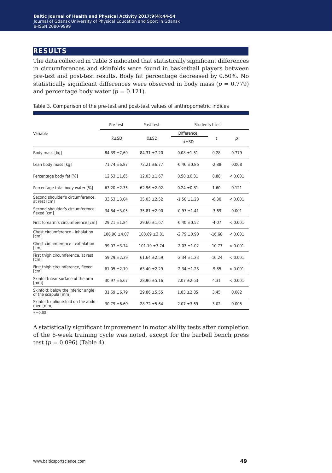## **results**

The data collected in Table 3 indicated that statistically significant differences in circumferences and skinfolds were found in basketball players between pre-test and post-test results. Body fat percentage decreased by 0.50%. No statistically significant differences were observed in body mass  $(p = 0.779)$ and percentage body water  $(p = 0.121)$ .

|                                                           | Pre-test           | Post-test          | Students t-test  |          |         |
|-----------------------------------------------------------|--------------------|--------------------|------------------|----------|---------|
| Variable                                                  |                    |                    | Difference       |          |         |
|                                                           | $\bar{x}$ $\pm$ SD | $\bar{x}$ $\pm$ SD | $x + SD$         | t        | p       |
| Body mass [kg]                                            | $84.39 \pm 7.69$   | $84.31 \pm 7.20$   | $0.08 \pm 1.51$  | 0.28     | 0.779   |
| Lean body mass [kg]                                       | $71.74 \pm 6.87$   | $72.21 \pm 6.77$   | $-0.46 \pm 0.86$ | $-2.88$  | 0.008   |
| Percentage body fat [%]                                   | $12.53 \pm 1.65$   | $12.03 \pm 1.67$   | $0.50 \pm 0.31$  | 8.88     | < 0.001 |
| Percentage total body water [%]                           | $63.20 \pm 2.35$   | $62.96 \pm 2.02$   | $0.24 \pm 0.81$  | 1.60     | 0.121   |
| Second shoulder's circumference.<br>at rest [cm]          | $33.53 \pm 3.04$   | $35.03 \pm 2.52$   | $-1.50 \pm 1.28$ | $-6.30$  | < 0.001 |
| Second shoulder's circumference,<br>flexed [cm]           | $34.84 \pm 3.05$   | $35.81 \pm 2.90$   | $-0.97 \pm 1.41$ | $-3.69$  | 0.001   |
| First forearm's circumference [cm]                        | $29.21 \pm 1.84$   | $29.60 \pm 1.67$   | $-0.40 \pm 0.52$ | $-4.07$  | < 0.001 |
| Chest circumference - inhalation<br>[cm]                  | $100.90 \pm 4.07$  | $103.69 \pm 3.81$  | $-2.79 \pm 0.90$ | $-16.68$ | < 0.001 |
| Chest circumference - exhalation<br>[cm]                  | $99.07 \pm 3.74$   | $101.10 \pm 3.74$  | $-2.03 \pm 1.02$ | $-10.77$ | < 0.001 |
| First thigh circumference, at rest<br>[cm]                | $59.29 \pm 2.39$   | $61.64 \pm 2.59$   | $-2.34 \pm 1.23$ | $-10.24$ | < 0.001 |
| First thigh circumference, flexed<br>[cm]                 | $61.05 \pm 2.19$   | $63.40 \pm 2.29$   | $-2.34 \pm 1.28$ | $-9.85$  | < 0.001 |
| Skinfold: rear surface of the arm<br>[mm]                 | $30.97 \pm 6.67$   | $28.90 \pm 5.16$   | $2.07 + 2.53$    | 4.31     | < 0.001 |
| Skinfold: below the inferior angle<br>of the scapula [mm] | $31.69 \pm 6.79$   | $29.86 \pm 5.55$   | $1.83 \pm 2.85$  | 3.45     | 0.002   |
| Skinfold: oblique fold on the abdo-<br>men [mm]           | $30.79 \pm 6.69$   | $28.72 \pm 5.64$   | $2.07 \pm 3.69$  | 3.02     | 0.005   |
| $\alpha = 0.05$                                           |                    |                    |                  |          |         |

Table 3. Comparison of the pre-test and post-test values of anthropometric indices

A statistically significant improvement in motor ability tests after completion of the 6-week training cycle was noted, except for the barbell bench press test  $(p = 0.096)$  (Table 4).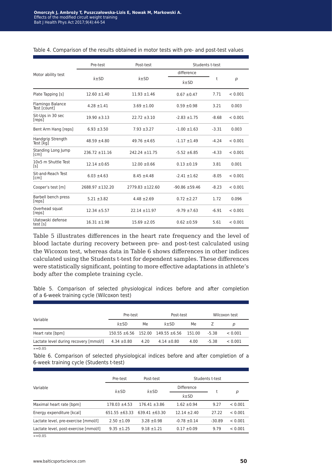|                                  | Pre-test           | Post-test                                |                    | Students t-test |         |
|----------------------------------|--------------------|------------------------------------------|--------------------|-----------------|---------|
| Motor ability test               |                    |                                          | difference         |                 |         |
|                                  |                    | $\bar{x}$ $\pm$ SD<br>$\bar{x}$ $\pm$ SD |                    | t               | p       |
| Plate Tapping [s]                | $12.60 \pm 1.40$   | $11.93 \pm 1.46$                         | $0.67 \pm 0.47$    | 7.71            | < 0.001 |
| Flamingo Balance<br>Test [count] | $4.28 \pm 1.41$    | $3.69 \pm 1.00$                          | $0.59 \pm 0.98$    | 3.21            | 0.003   |
| Sit-Ups in 30 sec<br>[reps]      | $19.90 \pm 3.13$   | $22.72 \pm 3.10$                         | $-2.83 \pm 1.75$   | $-8.68$         | < 0.001 |
| Bent Arm Hang [reps]             | $6.93 \pm 3.50$    | $7.93 \pm 3.27$                          | $-1.00 \pm 1.63$   | $-3.31$         | 0.003   |
| Handgrip Strength<br>Test [kq]   | $48.59 \pm 4.80$   | $49.76 \pm 4.65$                         | $-1.17 \pm 1.49$   | $-4.24$         | < 0.001 |
| Standing Long Jump<br>[cm]       | $236.72 \pm 11.16$ | $242.24 \pm 11.75$                       | $-5.52 \pm 6.85$   | $-4.33$         | < 0.001 |
| 10x5 m Shuttle Test<br>[s]       | $12.14 \pm 0.65$   | $12.00 \pm 0.66$                         | $0.13 \pm 0.19$    | 3.81            | 0.001   |
| Sit-and-Reach Test<br>[cm]       | $6.03 \pm 4.63$    | $8.45 \pm 4.48$                          | $-2.41 \pm 1.62$   | $-8.05$         | < 0.001 |
| Cooper's test [m]                | 2688.97 ±132.20    | 2779.83 ±122.60                          | $-90.86 \pm 59.46$ | $-8.23$         | < 0.001 |
| Barbell bench press<br>[reps]    | $5.21 \pm 3.82$    | $4.48 \pm 2.69$                          | $0.72 \pm 2.27$    | 1.72            | 0.096   |
| Overhead squat<br>[reps]         | $12.34 + 5.57$     | $22.14 \pm 11.97$                        | $-9.79 \pm 7.63$   | $-6.91$         | < 0.001 |
| Ulatowski defense<br>test [s]    | $16.31 \pm 1.98$   | $15.69 \pm 2.05$                         | $0.62 \pm 0.59$    | 5.61            | < 0.001 |

#### Table 4. Comparison of the results obtained in motor tests with pre- and post-test values

Table 5 illustrates differences in the heart rate frequency and the level of blood lactate during recovery between pre- and post-test calculated using the Wicoxon test, whereas data in Table 6 shows differences in other indices calculated using the Students t-test for dependent samples. These differences were statistically significant, pointing to more effective adaptations in athlete's body after the complete training cycle.

Table 5. Comparison of selected physiological indices before and after completion of a 6-week training cycle (Wilcoxon test)

|                                        | Pre-test           |      | Post-test                                         |      | Wilcoxon test |         |
|----------------------------------------|--------------------|------|---------------------------------------------------|------|---------------|---------|
| Variable                               | $\bar{x}$ $\pm$ SD | Me   | $\bar{x}$ $\pm$ SD                                | Me   |               | р       |
| Heart rate [bpm]                       |                    |      | $150.55 \pm 6.56$ 152.00 149.55 $\pm 6.56$ 151.00 |      | $-5.38$       | < 0.001 |
| Lactate level during recovery [mmol/l] | $4.34 \pm 0.80$    | 4.20 | $4.14 \pm 0.80$                                   | 4.00 | $-5.38$       | < 0.001 |
| $\alpha = 0.05$                        |                    |      |                                                   |      |               |         |

Table 6. Comparison of selected physiological indices before and after completion of a 6-week training cycle (Students t-test)

|                                       | Pre-test<br>Post-test |                    |                  | Students t-test |         |  |
|---------------------------------------|-----------------------|--------------------|------------------|-----------------|---------|--|
| Variable                              | $x \pm SD$            | $\bar{x}$ $\pm$ SD | Difference       |                 |         |  |
|                                       |                       |                    | $x\pm SD$        |                 | р       |  |
| Maximal heart rate [bpm]              | $178.03 \pm 4.53$     | $176.41 \pm 3.86$  | $1.62 \pm 0.94$  | 9.27            | < 0.001 |  |
| Energy expenditure [kcal]             | $651.55 \pm 63.33$    | $639.41 + 63.30$   | $12.14 + 2.40$   | 27.22           | < 0.001 |  |
| Lactate level, pre-exercise [mmol/l]  | $2.50 \pm 1.09$       | $3.28 \pm 0.98$    | $-0.78 \pm 0.14$ | $-30.89$        | < 0.001 |  |
| Lactate level, post-exercise [mmol/l] | $9.35 + 1.25$         | $9.18 + 1.21$      | $0.17 \pm 0.09$  | 9.79            | < 0.001 |  |
|                                       |                       |                    |                  |                 |         |  |

∝=0.05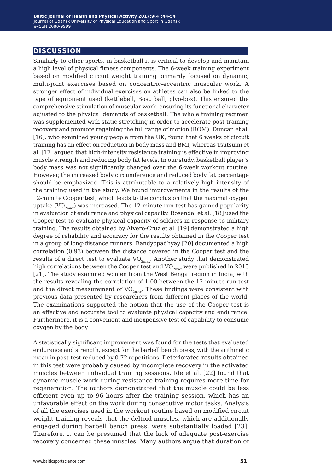### **discussion**

Similarly to other sports, in basketball it is critical to develop and maintain a high level of physical fitness components. The 6-week training experiment based on modified circuit weight training primarily focused on dynamic, multi-joint exercises based on concentric-eccentric muscular work. A stronger effect of individual exercises on athletes can also be linked to the type of equipment used (kettlebell, Bosu ball, plyo-box). This ensured the comprehensive stimulation of muscular work, ensuring its functional character adjusted to the physical demands of basketball. The whole training regimen was supplemented with static stretching in order to accelerate post-training recovery and promote regaining the full range of motion (ROM). Duncan et al. [16], who examined young people from the UK, found that 6 weeks of circuit training has an effect on reduction in body mass and BMI, whereas Tsutsumi et al. [17] argued that high-intensity resistance training is effective in improving muscle strength and reducing body fat levels. In our study, basketball player's body mass was not significantly changed over the 6-week workout routine. However, the increased body circumference and reduced body fat percentage should be emphasized. This is attributable to a relatively high intensity of the training used in the study. We found improvements in the results of the 12-minute Cooper test, which leads to the conclusion that the maximal oxygen uptake (VO<sub>2may</sub>) was increased. The 12-minute run test has gained popularity in evaluation of endurance and physical capacity. Rosendal et al. [18] used the Cooper test to evaluate physical capacity of soldiers in response to military training. The results obtained by Alvero-Cruz et al. [19] demonstrated a high degree of reliability and accuracy for the results obtained in the Cooper test in a group of long-distance runners. Bandyopadhyay [20] documented a high correlation (0.93) between the distance covered in the Cooper test and the results of a direct test to evaluate  $VO_{2max}$ . Another study that demonstrated high correlations between the Cooper test and  $VO_{2max}$  were published in 2013 [21]. The study examined women from the West Bengal region in India, with the results revealing the correlation of 1.00 between the 12-minute run test and the direct measurement of  $VO_{2<sub>max</sub>}$ . These findings were consistent with previous data presented by researchers from different places of the world. The examinations supported the notion that the use of the Cooper test is an effective and accurate tool to evaluate physical capacity and endurance. Furthermore, it is a convenient and inexpensive test of capability to consume oxygen by the body.

A statistically significant improvement was found for the tests that evaluated endurance and strength, except for the barbell bench press, with the arithmetic mean in post-test reduced by 0.72 repetitions. Deteriorated results obtained in this test were probably caused by incomplete recovery in the activated muscles between individual training sessions. Ide et al. [22] found that dynamic muscle work during resistance training requires more time for regeneration. The authors demonstrated that the muscle could be less efficient even up to 96 hours after the training session, which has an unfavorable effect on the work during consecutive motor tasks. Analysis of all the exercises used in the workout routine based on modified circuit weight training reveals that the deltoid muscles, which are additionally engaged during barbell bench press, were substantially loaded [23]. Therefore, it can be presumed that the lack of adequate post-exercise recovery concerned these muscles. Many authors argue that duration of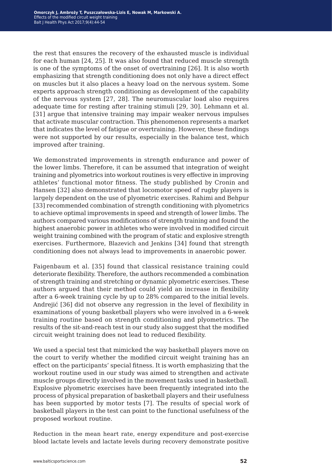the rest that ensures the recovery of the exhausted muscle is individual for each human [24, 25]. It was also found that reduced muscle strength is one of the symptoms of the onset of overtraining [26]. It is also worth emphasizing that strength conditioning does not only have a direct effect on muscles but it also places a heavy load on the nervous system. Some experts approach strength conditioning as development of the capability of the nervous system [27, 28]. The neuromuscular load also requires adequate time for resting after training stimuli [29, 30]. Lehmann et al. [31] argue that intensive training may impair weaker nervous impulses that activate muscular contraction. This phenomenon represents a market that indicates the level of fatigue or overtraining. However, these findings were not supported by our results, especially in the balance test, which improved after training.

We demonstrated improvements in strength endurance and power of the lower limbs. Therefore, it can be assumed that integration of weight training and plyometrics into workout routines is very effective in improving athletes' functional motor fitness. The study published by Cronin and Hansen [32] also demonstrated that locomotor speed of rugby players is largely dependent on the use of plyometric exercises. Rahimi and Behpur [33] recommended combination of strength conditioning with plyometrics to achieve optimal improvements in speed and strength of lower limbs. The authors compared various modifications of strength training and found the highest anaerobic power in athletes who were involved in modified circuit weight training combined with the program of static and explosive strength exercises. Furthermore, Blazevich and Jenkins [34] found that strength conditioning does not always lead to improvements in anaerobic power.

Faigenbaum et al. [35] found that classical resistance training could deteriorate flexibility. Therefore, the authors recommended a combination of strength training and stretching or dynamic plyometric exercises. These authors argued that their method could yield an increase in flexibility after a 6-week training cycle by up to 28% compared to the initial levels. Andrejić [36] did not observe any regression in the level of flexibility in examinations of young basketball players who were involved in a 6-week training routine based on strength conditioning and plyometrics. The results of the sit-and-reach test in our study also suggest that the modified circuit weight training does not lead to reduced flexibility.

We used a special test that mimicked the way basketball players move on the court to verify whether the modified circuit weight training has an effect on the participants' special fitness. It is worth emphasizing that the workout routine used in our study was aimed to strengthen and activate muscle groups directly involved in the movement tasks used in basketball. Explosive plyometric exercises have been frequently integrated into the process of physical preparation of basketball players and their usefulness has been supported by motor tests [7]. The results of special work of basketball players in the test can point to the functional usefulness of the proposed workout routine.

Reduction in the mean heart rate, energy expenditure and post-exercise blood lactate levels and lactate levels during recovery demonstrate positive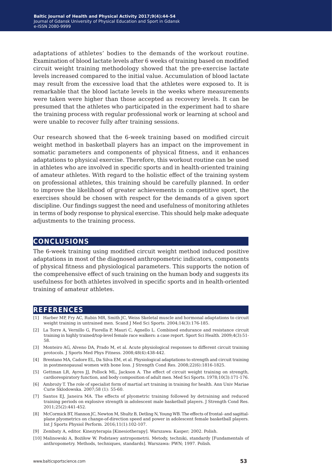adaptations of athletes' bodies to the demands of the workout routine. Examination of blood lactate levels after 6 weeks of training based on modified circuit weight training methodology showed that the pre-exercise lactate levels increased compared to the initial value. Accumulation of blood lactate may result from the excessive load that the athletes were exposed to. It is remarkable that the blood lactate levels in the weeks where measurements were taken were higher than those accepted as recovery levels. It can be presumed that the athletes who participated in the experiment had to share the training process with regular professional work or learning at school and were unable to recover fully after training sessions.

Our research showed that the 6-week training based on modified circuit weight method in basketball players has an impact on the improvement in somatic parameters and components of physical fitness, and it enhances adaptations to physical exercise. Therefore, this workout routine can be used in athletes who are involved in specific sports and in health-oriented training of amateur athletes. With regard to the holistic effect of the training system on professional athletes, this training should be carefully planned. In order to improve the likelihood of greater achievements in competitive sport, the exercises should be chosen with respect for the demands of a given sport discipline. Our findings suggest the need and usefulness of monitoring athletes in terms of body response to physical exercise. This should help make adequate adjustments to the training process.

### **conclusions**

The 6-week training using modified circuit weight method induced positive adaptations in most of the diagnosed anthropometric indicators, components of physical fitness and physiological parameters. This supports the notion of the comprehensive effect of such training on the human body and suggests its usefulness for both athletes involved in specific sports and in health-oriented training of amateur athletes.

### **references**

- [1] Harber MP, Fry AC, Rubin MR, Smith JC, Weiss Skeletal muscle and hormonal adaptations to circuit weight training in untrained men. Scand J Med Sci Sports. 2004;14(3):176-185.
- [2] La Torre A, Vernillo G, Fiorella P, Mauri C, Agnello L. Combined endurance and resistance circuit training in highly trained/top-level female race walkers: a case report. Sport Sci Health. 2009;4(3):51- 58.
- [3] Monteiro AG, Alveno DA, Prado M, et al. Acute physiological responses to different circuit training protocols. J Sports Med Phys Fitness. 2008;48(4):438-442.
- [4] Brentano MA, Cadore EL, Da Silva EM, et al. Physiological adaptations to strength and circuit training in postmenopausal women with bone loss. J Strength Cond Res. 2008;22(6):1816-1825.
- [5] Gettman LR, Ayres JJ, Pollock ML, Jackson A. The effect of circuit weight training on strength, cardiorespiratory function, and body composition of adult men. Med Sci Sports. 1978;10(3):171-176.
- [6] Ambroży T. The role of specialist form of martial art training in training for health. Ann Univ Mariae Curie Sklodowska. 2007;58 (1): 55-60.
- [7] Santos EJ, Janeira MA. The effects of plyometric training followed by detraining and reduced training periods on explosive strength in adolescent male basketball players. J Strength Cond Res. 2011;25(2):441-452.
- [8] McCormick BT, Hannon JC, Newton M, Shultz B, Detling N, Young WB. The effects of frontal- and sagittalplane plyometrics on change-of-direction speed and power in adolescent female basketball players. Int J Sports Physiol Perform. 2016;11(1):102-107.
- [9] Zembaty A, editor. Kinezyterapia [Kinesiotherapy]. Warszawa: Kasper; 2002. Polish.
- [10] Malinowski A, Bożiłow W. Podstawy antropometrii. Metody, techniki, standardy [Fundamentals of anthropometry. Methods, techniques, standards]. Warszawa: PWN; 1997. Polish.